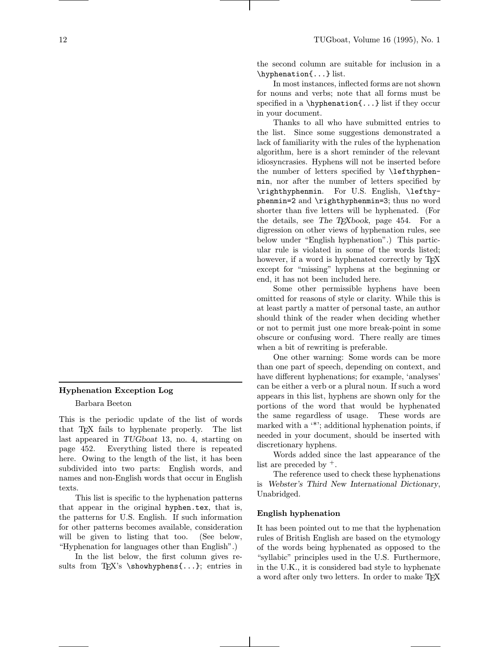the second column are suitable for inclusion in a \hyphenation{...} list.

In most instances, inflected forms are not shown for nouns and verbs; note that all forms must be specified in a \hyphenation{...} list if they occur in your document.

Thanks to all who have submitted entries to the list. Since some suggestions demonstrated a lack of familiarity with the rules of the hyphenation algorithm, here is a short reminder of the relevant idiosyncrasies. Hyphens will not be inserted before the number of letters specified by \lefthyphenmin, nor after the number of letters specified by \righthyphenmin. For U.S. English, \lefthyphenmin=2 and \righthyphenmin=3; thus no word shorter than five letters will be hyphenated. (For the details, see The TEXbook, page 454. For a digression on other views of hyphenation rules, see below under "English hyphenation".) This particular rule is violated in some of the words listed; however, if a word is hyphenated correctly by TEX except for "missing" hyphens at the beginning or end, it has not been included here.

Some other permissible hyphens have been omitted for reasons of style or clarity. While this is at least partly a matter of personal taste, an author should think of the reader when deciding whether or not to permit just one more break-point in some obscure or confusing word. There really are times when a bit of rewriting is preferable.

One other warning: Some words can be more than one part of speech, depending on context, and have different hyphenations; for example, 'analyses' can be either a verb or a plural noun. If such a word appears in this list, hyphens are shown only for the portions of the word that would be hyphenated the same regardless of usage. These words are marked with a '\*'; additional hyphenation points, if needed in your document, should be inserted with discretionary hyphens.

Words added since the last appearance of the list are preceded by  $\pm$ .

The reference used to check these hyphenations is Webster's Third New International Dictionary, Unabridged.

#### English hyphenation

It has been pointed out to me that the hyphenation rules of British English are based on the etymology of the words being hyphenated as opposed to the "syllabic" principles used in the U.S. Furthermore, in the U.K., it is considered bad style to hyphenate a word after only two letters. In order to make TEX

# Hyphenation Exception Log

Barbara Beeton

This is the periodic update of the list of words that TEX fails to hyphenate properly. The list last appeared in TUGboat 13, no. 4, starting on page 452. Everything listed there is repeated here. Owing to the length of the list, it has been subdivided into two parts: English words, and names and non-English words that occur in English texts.

This list is specific to the hyphenation patterns that appear in the original hyphen.tex, that is, the patterns for U.S. English. If such information for other patterns becomes available, consideration will be given to listing that too. (See below, "Hyphenation for languages other than English".)

In the list below, the first column gives results from TEX's \showhyphens{...}; entries in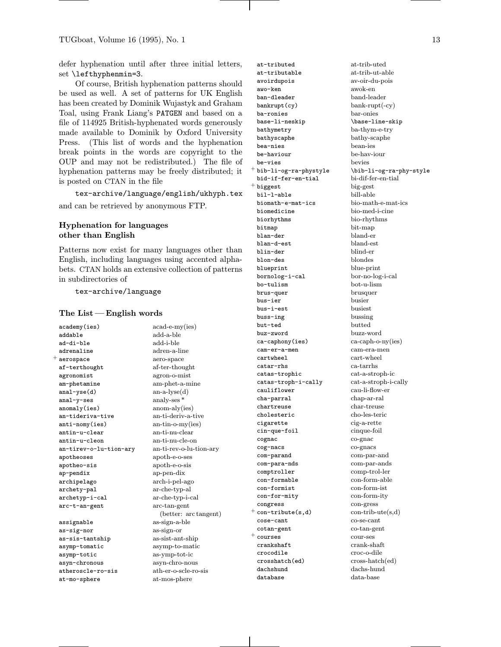defer hyphenation until after three initial letters, set \lefthyphenmin=3.

Of course, British hyphenation patterns should be used as well. A set of patterns for UK English has been created by Dominik Wujastyk and Graham Toal, using Frank Liang's PATGEN and based on a file of 114925 British-hyphenated words generously made available to Dominik by Oxford University Press. (This list of words and the hyphenation break points in the words are copyright to the OUP and may not be redistributed.) The file of hyphenation patterns may be freely distributed; it is posted on CTAN in the file

tex-archive/language/english/ukhyph.tex and can be retrieved by anonymous FTP.

### Hyphenation for languages other than English

Patterns now exist for many languages other than English, including languages using accented alphabets. CTAN holds an extensive collection of patterns in subdirectories of

### tex-archive/language

#### The List— English words

academy(ies) acad-e-my(ies) addable add-a-ble ad-di-ble add-i-ble adrenaline adren-a-line  $^+$  aerospace aero-space af-terthought af-ter-thought agronomist agron-o-mist am-phetamine am-phet-a-mine anal-yse(d) an-a-lyse(d) anal-y-ses analy-ses \* anomaly(ies) anom-aly(ies) an-tideriva-tive an-ti-deriv-a-tive anti-nomy(ies) an-tin-o-my(ies) antin-u-clear an-ti-nu-clear  $antin-u$ -cleon an-tirev-o-lu-tion-ary an-ti-rev-o-lu-tion-ary apotheoses apoth-e-o-ses apotheo-sis apoth-e-o-sis ap-pendix ap-pen-dix archipelago arch-i-pel-ago archety-pal arche-typ-al archetyp-i-cal ar-che-typ-i-cal arc-t-an-gent arc-tan-gent

as-sig-nor as-sign-or as-sis-tantship as-sist-ant-ship asymp-tomatic asymp-to-matic asymp-totic as-ymp-tot-ic asyn-chronous asyn-chro-nous atheroscle-ro-sis ath-er-o-scle-ro-sis at-mo-sphere at-mos-phere

ar-che-typ-al (better: arc tangent) assignable as-sign-a-ble

at-tributed at-trib-uted at-tributable at-trib-ut-able avoirdupois av-oir-du-pois awo-ken awok-en ban-dleader band-leader  $bankrupt(cy)$   $bank-rupt(-cy)$ ba-ronies bar-onies base-li-neskip \base-line-skip bathymetry ba-thym-e-try bathyscaphe bathy-scaphe bea-nies bean-ies be-haviour<br>
be-vies be-vies<br>
be-vies be-vies  $^+$  bib-li-og-ra-phystyle  $\b$ bib-li-og-ra-phy-style bid-if-fer-en-tial bi-dif-fer-en-tial <sup>+</sup> biggest big-gest bil-l-able bill-able biomath-e-mat-ics bio-math-e-mat-ics biomedicine bio-med-i-cine biorhythms bio-rhythms bitmap bit-map blan-der bland-er blan-d-est bland-est blin-der blind-er blon-des blondes blueprint blue-print bornolog-i-cal bor-no-log-i-cal bo-tulism bot-u-lism brus-quer brusquer bus-ier busier busier<br>bus-i-est busiest bus-i-est buss-ing bussing but-ted butted buz-zword buzz-word ca-caphony(ies) ca-caph-o-ny(ies) cam-er-a-men cam-era-men cartwheel cart-wheel catar-rhs ca-tarrhs catas-trophic cat-a-stroph-ic catas-troph-i-cally cat-a-stroph-i-cally cha-parral chap-ar-ral chartreuse cholesteric cho-les-teric cigarette cig-a-rette cin-que-foil cinque-foil cognac co-gnac cog-nacs co-gnacs com-parand com-par-and com-para-nds com-par-ands comptroller comp-trol-ler con-formist con-form-ist con-for-mity con-form-ity congress con-gress  $+$  con-tribute(s,d) con-trib-ute(s,d) cose-cant co-se-cant cotan-gent co-tan-gent <sup>+</sup> courses cour-ses crankshaft crank-shaft crocodile croc-o-dile crosshatch(ed) cross-hatch(ed) dachshund dachs-hund database data-base

cau-li-flow-er con-formable con-form-able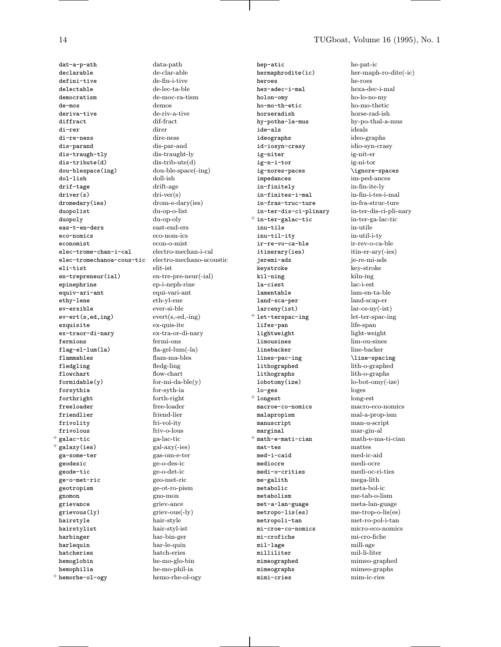dat-a-p-ath declarable defini-tive delectable democratism  $de - <sub>mos</sub>$ deriva-tive diffract  $div - \cdot$ di-re-ness dis-parand dis-traugh-tly  $dis-tribute(d)$ dou-blespace(ing) dol-lish drif-tage  $driver(s)$ dromedary(ies) duopolist duopoly eas-t-en-ders eco-nomics  $e$ conomist elec-trome-chan-i-cal elec-tromechanoa-cous-tic eli-tist en-trepreneur(ial) epinephrine equiv-ari-ant ethy-lene ev-ersible  $ev-ert(s, ed, ing)$ exquisite ex-traor-di-nary fermions  $flag$ -el-lum $(la)$ flammables fledgling flowchart  $formulaable(y)$ forsythia forthright freeloader friendlier frivolity frivolous  $^+$  galac-tic  $^+$  galaxy(ies) ga-some-ter geodesic geode-tic ge-o-met-ric geotropism gnomon grievance grievous(ly) hairstvle hairstylist harbinger harlequin hatcheries hemoglobin hemophilia  $^+$  hemorhe-ol-ogy

14

data-path de-clar-able de-fin-i-tive de-lec-ta-ble de-moc-ra-tism demos de-riv-a-tive dif-fract direr dire-ness dis-par-and dis-traught-ly  $dis-trib-ute(d)$ dou-ble-space(-ing) doll-ish drift-age  $diri-ver(s)$  $d$ rom-e-dary $(ies)$ du-op-o-list du-op-oly east-end-ers eco-nom-ics econ-o-mist electro-mechan-i-cal electro-mechano-acoustic elit-ist  $en-tree-pre-neur(-ial)$ ep-i-neph-rine equi-vari-ant eth-yl-ene ever-si-ble  $\text{event}(s, -ed, -ing)$ ex-quis-ite ex-tra-or-di-nary fermi-ons  $fa$ -gel-lum $(-la)$ flam-ma-bles fledg-ling flow-chart  $for-mi-da-ble(y)$ for-syth-ia forth-right free-loader friend-lier fri-vol-ity friv-o-lous ga-lac-tic  $gal-axy(-ies)$ gas-om-e-ter ge-o-des-ic ge-o-det-ic geo-met-ric ge-ot-ro-pism gno-mon griev-ance griev-ous(-ly) hair-style hair-styl-ist har-bin-ger har-le-quin hatch-eries he-mo-glo-bin he-mo-phil-ia hemo-rhe-ol-ogy

hep-atic hermaphrodite(ic) heroes hex-adec-i-mal holon-omy ho-mo-th-etic horseradish hy-potha-la-mus ide-als ideographs id-iosyn-crasy ig-niter ig-n-i-tor ig-nores-paces impedances in-finitely in-finites-i-mal in-fras-truc-ture in-ter-dis-ci-plinary  $^+$  in-ter-galac-tic inu-tile inu-til-itv ir-re-vo-ca-ble itinerary(ies) jeremi-ads kevstroke kil-ning la-ciest lamentable land-sca-per  $lar$ ceny $(ist)$  $^+$  let-terspac-ing lifes-pan lightweight limousines linebacker lines-pac-ing lithographed  $\hbox{\tt lithographs}$ lobotomy(ize)  $lo-ges$  $^+$  longest macroe-co-nomics malapropism manuscript marginal  $+$  math-e-mati-cian  $mat-tes$  $med-i-caid$ mediocre medi-o-crities me-galith metabolic  $metabolism$ met-a-lan-guage metropo-lis(es) metropoli-tan mi-croe-co-nomics mi-crofiche mil-lage milliliter mimeographed mimeographs mimi-cries

he-pat-ic her-maph-ro-dite(-ic) he-roes hexa-dec-i-mal ho-lo-no-my ho-mo-thetic horse-rad-ish hy-po-thal-a-mus ideals ideo-graphs idio-syn-crasy ig-nit-er ig-ni-tor \ignore-spaces im-ped-ances in-fin-ite-ly in-fin-i-tes-i-mal in-fra-struc-ture in-ter-dis-ci-pli-nary in-ter-ga-lac-tic in-utile in-util-i-tv  $ir$  -  $rev$  -  $\operatorname{c-a-ble}$  $itin-*er*-*ary*(-ies)$ je-re-mi-ads kev-stroke kiln-ing  $lac$ -i-est  $lam-en-ta-ble$ land-scap-er  $lar-ce-ny(-ist)$ let-ter-spac-ing life-span light-weight lim-ou-sines line-backer \line-spacing lith-o-graphed lith-o-graphs  $lo$ -bot-omy $(-ize)$ loges long-est macro-eco-nomics mal-a-prop-ism man-u-script mar-gin-al  $mathematiced a$ mattes med-ic-aid medi-ocre medi-oc-ri-ties mega-lith meta-bol-ic  $me$ -tab-o-lism meta-lan-guage  $me$ -trop-o-lis $(es)$ met-ro-pol-i-tan micro-eco-nomics mi-cro-fiche mill-age mil-li-liter mimeo-graphed mimeo-graphs mim-ic-ries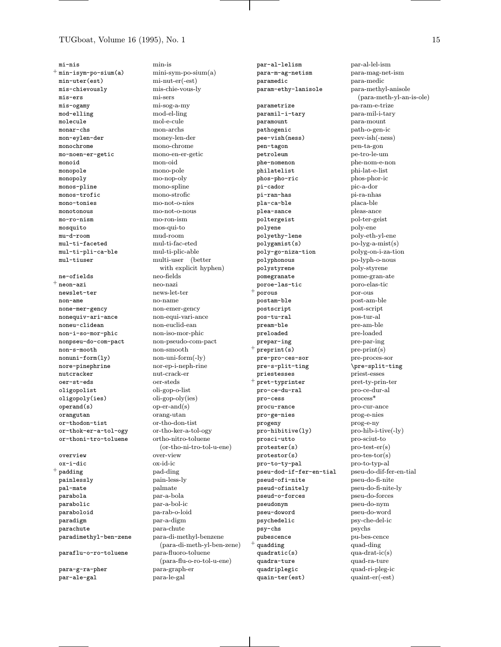mi-nis  $^+$  min-isym-po-sium(a) min-uter(est) mis-chievously  $mis-ers$ mis-ogamy mod-elling molecule monar-chs mon-eylen-der monochrome mo-noen-er-getic monoid monopole monopoly monos-pline  $\texttt{mono} \texttt{s}\texttt{-t} \texttt{rofic}$ mono-tonies monotonous mo-ro-nism mosquito mu-d-room mul-ti-faceted mul-ti-pli-ca-ble mul-tiuser ne-ofields  $^+$  neon-azi newslet-ter  $non-ame$ none-mer-gency nonequiv-ari-ance noneu-clidean non-i-so-mor-phic nonpseu-do-com-pact non-s-mooth  $nonuni-form(1y)$ nore-pinephrine mutcracker oer-st-eds oligopolist oligopoly(ies)  $operand(s)$ orangutan  $or$ -thodon-tist or-thok-er-a-tol-ogy or-thoni-tro-toluene overview ox-i-dic  $^+$  padding painlessly pal-mate parabola parabolic paraboloid paradigm parachute paradimethyl-ben-zene paraflu-o-ro-toluene

para-g-ra-pher par-ale-gal

min-is  $min-sym-po-sium(a)$  $min-<sub>er(-est)</sub>$ mis-chie-vous-ly mi-sers mi-sog-a-my mod-el-ling mol-e-cule mon-archs money-len-der mono-chrome mono-en-er-getic mon-oid mono-pole mo-nop-oly mono-spline  ${\rm mono\text{-}strofic}$ mo-not-o-nies mo-not-o-nous mo-ron-ism mos-qui-to mud-room  $\text{mul-ti-fac-eted}$ mul-ti-plic-able multi-user (better with explicit hyphen) neo-fields neo-nazi news-let-ter no-name non-emer-gency non-equi-vari-ance non-euclid-ean non-iso-mor-phic non-pseudo-com-pact non-smooth  $non-uni-form(-ly)$ nor-ep-i-neph-rine nut-crack-er  $o$ er-steds oli-gop-o-list oli-gop-oly(ies)  $op-$ er-and $(s)$ orang-utan  $\mathrm{or}\text{-}\mathrm{th} \mathrm{o}\text{-}\mathrm{don}\text{-}\mathrm{t} \mathrm{ist}$ or-tho-ker-a-tol-ogy ortho-nitro-toluene (or-tho-ni-tro-tol-u-ene) over-view ox-id-ic pad-ding pain-less-ly palmate par-a-bola par-a-bol-ic  $pa$ -rab-o-loid par-a-digm para-chute para-di-methyl-benzene (para-di-meth-yl-ben-zene) para-fluoro-toluene (para-flu-o-ro-tol-u-ene) para-graph-er para-le-gal

par-al-lelism para-m-ag-netism  $\verb!paramedic!$  $\verb!param-ethyl-lanisole!!$ parametrize paramil-i-tary paramount pathogenic pee-vish(ness) pen-tagon petroleum phe-nomenon philatelist phos-pho-ric pi-cador pi-ran-has pla-ca-ble plea-sance poltergeist polyene polyethy-lene polygamist(s) poly-go-niza-tion polyphonous polystyrene pomegranate poroe-las-tic porous postam-ble postscript pos-tu-ral pream-ble preloaded  $\verb|prepar-ing|$  $preprint(s)$ pre-pro-ces-sor pre-s-plit-ting priestesses pret-typrinter pro-ce-du-ral pro-cess procu-rance pro-ge-nies progeny pro-hibitive(ly) prosci-utto  $protester(s)$  $protestor(s)$ pro-to-ty-pal pseu-dod-if-fer-en-tial pseud-ofi-nite pseud-ofinitely pseud-o-forces pseudonym pseu-doword psychedelic psy-chs pubescence  $^+$  quadding quadratic(s) quadra-ture quadriplegic quain-ter(est)

par-al-lel-ism para-mag-net-ism para-medic para-methyl-anisole  $(\text{para-meth-yl-an-is-ole})$ pa-ram-e-trize para-mil-i-tary para-mount path-o-gen-ic peev-ish(-ness) pen-ta-gon pe-tro-le-um phe-nom-e-non phi-lat-e-list phos-phor-ic pic-a-dor pi-ra-nhas placa-ble pleas-ance pol-ter-geist poly-ene poly-eth-yl-ene  $po$ -lyg-a-mist $(s)$ polyg-on-i-za-tion po-lyph-o-nous poly-styrene pome-gran-ate poro-elas-tic por-ous  $\operatorname{post-am-ble}$ post-script pos-tur-al pre-am-ble pre-loaded pre-par-ing  $pre-print(s)$ pre-proces-sor \pre-split-ting priest-esses pret-ty-prin-ter  $pro-ce-dur-al$  $process*$ pro-cur-ance prog-e-nies  $prog-eny$ pro-hib-i-tive(-ly) pro-sciut-to  $pro-test-er(s)$  $pro-tes-tor(s)$ pro-to-typ-al pseu-do-dif-fer-en-tial pseu-do-fi-nite pseu-do-fi-nite-ly pseu-do-forces pseu-do-nym  $\operatorname{pseu-do-word}$ psy-che-del-ic psychs pu-bes-cence quad-ding qua-drat- $ic(s)$ quad-ra-ture quad-ri-pleg-ic  $quant-er(-est)$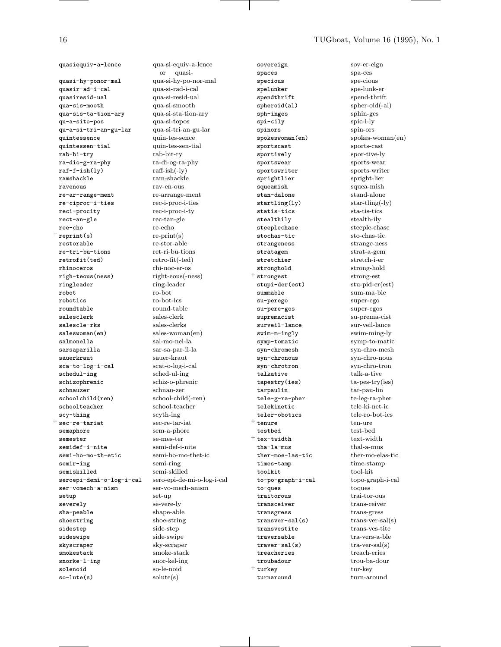quasiequiv-a-lence qua-si-equiv-a-lence

quasi-hy-ponor-mal qua-si-hy-po-nor-mal<br>quasir-ad-i-cal qua-si-rad-i-cal quasir-ad-i-cal quasiresid-ual qua-si-resid-ual qua-sis-mooth qua-si-smooth qua-sis-ta-tion-ary qua-si-sta-tion-ary qu-a-sito-pos qua-si-topos qu-a-si-tri-an-gu-lar qua-si-tri-an-gu-lar quintessence quin-tes-sence quintessen-tial quin-tes-sen-tial rab-bi-try rab-bit-ry ra-dio-g-ra-phy ra-di-og-ra-<br>raf-f-ish(1y) raff-ish(-ly)  $raf-f-ish(1y)$ ramshackle ram-shackle ravenous rav-en-ous re-ar-range-ment re-arrange-ment re-ciproc-i-ties rec-i-proc-i-ties reci-procity rec-i-proc-i-ty rect-an-gle rec-tan-gle ree-cho re-echo  $+$  reprint(s) re-print(s) restorable re-stor-able re-tri-bu-tions retrofit(ted) retro-fit(-ted) rhinoceros rhi-noc-er-os righ-teous(ness) right-eous(-ness) ringleader ring-leader robot<br>robotics ro-bot<br>ro-bot robotics roundtable round-table salesclerk sales-clerk salescle-rks sales-clerks saleswoman(en) sales-woman(en) salmonella sal-mo-nel-la sarsaparilla sar-sa-par-il-la sauerkraut sauer-kraut sca-to-log-i-cal scat-o-log-i-cal schedul-ing schizophrenic schiz-o-phrenic schoolchild(ren) school-child(-ren) schoolteacher school-teacher scy-thing scyth-ing  $^+$  sec-re-tariat sec-re-tar-iat semaphore sem-a-phore semester se-mes-ter semidef-i-nite semi-def-i-nite semi-ho-mo-th-etic semi-ho-mo-thet-ic semir-ing semi-ring semiskilled<br>seroepi-demi-o-log-i-cal sero-epi-de-mi-o-log-i-cal seroepi-demi-o-log-i-cal ser-vomech-a-nism ser-vo-mech-anism setup set-up severely se-vere-ly sha-peable shoe-string<br>shoe-string shoe-string shoestring sidestep side-step sideswipe side-swipe skyscraper sky-scraper smokestack smoke-stack snorke-l-ing snor-kel-ing solenoid so-le-noid so-lute(s) solute(s)

or quasiround-table schnauzer schnau-zer

sovereign sov-er-eign spaces spa-ces specious specious<br>spelunker spelunk-er spelunker spendthrift spend-thrift spheroid(al) spher-oid(-al) sph-inges sphin-ges spi-cily spic-i-ly spinors spin-ors spokeswoman(en) spokes-woman(en) sportscast sports-cast sportively sportive-ly<br>sportswear sports-wear sportswriter sports-writer sprightlier spright-lier squeamish squea-mish stan-dalone stand-alone  $startling(1y)$  star-tling(-ly) statis-tics sta-tis-tics stealthily stealth-ily steeplechase steeple-chase stochas-tic sto-chas-tic strangeness strange-ness stratagem strat-a-gem stretchier stretch-i-er stronghold strong-hold + strongest strong-est stupi-der(est) stu-pid-er(est) summable sum-ma-ble su-perego super-ego<br>su-pere-gos super-egos su-pere-gos supremacist su-prema-cist surveil-lance sur-veil-lance<br>
swim-m-ingly swim-ming-ly swim-m-ingly<br>symp-tomatic symp-to-matic<br>symp-to-matic symp-tomatic syn-chromesh syn-chro-mesh syn-chronous syn-chro-nous syn-chrotron syn-chro-tron talkative talk-a-tive tapestry(ies) ta-pes-try(ies)<br>tarpaulin tar-pau-lin tele-g-ra-pher te-leg-ra-pher telekinetic tele-ki-net-ic teler-obotics tele-ro-bot-ics  $^+$  tenure ten-ure testbed test-bed  $+$  tex-twidth text-width tha-la-mus thal-a-mus ther-moe-las-tic ther-mo-elas-tic times-tamp time-stamp  $time$ s-tamp toolkit tool-kit tool-kit tool-kit tool-graph-i-cal topo-graph-i-cal topoto-po-graph-i-cal to-ques toques traitorous trai-tor-ous transceiver trans-ceiver<br>transgress trans-gress transgress  $transver-sal(s)$   $trans-ver-sal(s)$ transvestite trans-ves-tite traversable tra-vers-a-ble  $travel-sal(s)$   $tra-ver-sal(s)$ treacheries treach-eries troubadour trou-ba-dour  $^+$  turkey tur-key turnaround turn-around

sports-wear tar-pau-lin